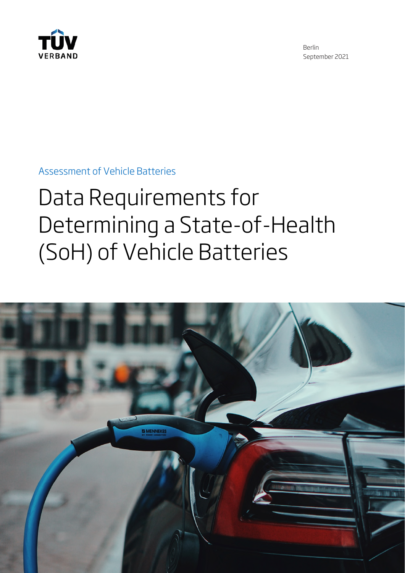

Berlin September 2021

Assessment of Vehicle Batteries

# Data Requirements for Determining a State-of-Health (SoH) of Vehicle Batteries

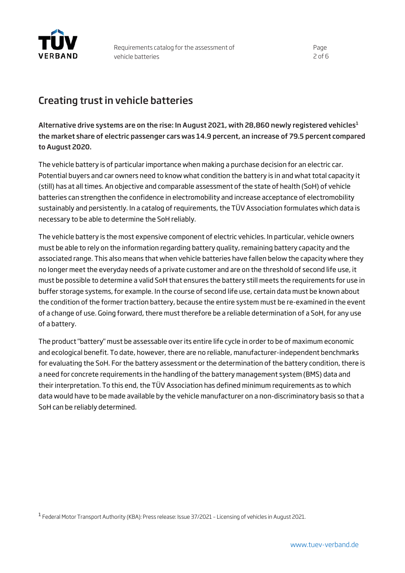

## Creating trust in vehicle batteries

Alternative drive systems are on the rise: In August 202[1](#page-1-0), with 28,860 newly registered vehicles<sup>1</sup> the market share of electric passenger cars was 14.9 percent, an increase of 79.5 percent compared to August 2020.

The vehicle battery is of particular importance when making a purchase decision for an electric car. Potential buyers and car owners need to know what condition the battery is in and what total capacity it (still) has at all times. An objective and comparable assessment of the state of health (SoH) of vehicle batteries can strengthen the confidence in electromobility and increase acceptance of electromobility sustainably and persistently. In a catalog of requirements, the TÜV Association formulates which data is necessary to be able to determine the SoH reliably.

The vehicle battery is the most expensive component of electric vehicles. In particular, vehicle owners must be able to rely on the information regarding battery quality, remaining battery capacity and the associated range. This also means that when vehicle batteries have fallen below the capacity where they no longer meet the everyday needs of a private customer and are on the threshold of second life use, it must be possible to determine a valid SoH that ensures the battery still meets the requirements for use in buffer storage systems, for example. In the course of second life use, certain data must be known about the condition of the former traction battery, because the entire system must be re-examined in the event of a change of use. Going forward, there must therefore be a reliable determination of a SoH, for any use of a battery.

The product "battery" must be assessable over its entire life cycle in order to be of maximum economic and ecological benefit. To date, however, there are no reliable, manufacturer-independent benchmarks for evaluating the SoH. For the battery assessment or the determination of the battery condition, there is a need for concrete requirements in the handling of the battery management system (BMS) data and their interpretation. To this end, the TÜV Association has defined minimum requirements as to which data would have to be made available by the vehicle manufacturer on a non-discriminatory basis so that a SoH can be reliably determined.

<span id="page-1-0"></span><sup>1</sup> Federal Motor Transport Authority (KBA): Press release: Issue 37/2021 - Licensing of vehicles in August 2021.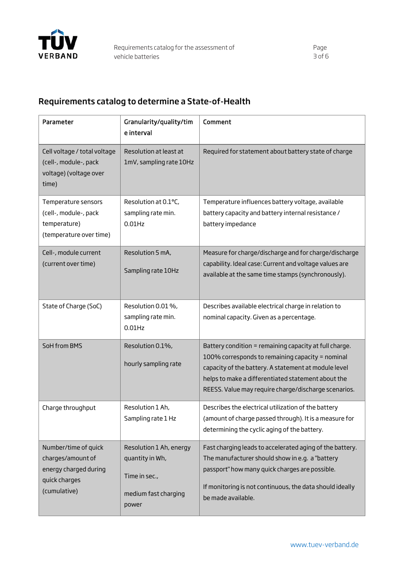

## Requirements catalog to determine a State-of-Health

| Parameter                                                                                           | Granularity/quality/tim<br>e interval                                                        | Comment                                                                                                                                                                                                                                                                          |
|-----------------------------------------------------------------------------------------------------|----------------------------------------------------------------------------------------------|----------------------------------------------------------------------------------------------------------------------------------------------------------------------------------------------------------------------------------------------------------------------------------|
| Cell voltage / total voltage<br>(cell-, module-, pack<br>voltage) (voltage over<br>time)            | Resolution at least at<br>1mV, sampling rate 10Hz                                            | Required for statement about battery state of charge                                                                                                                                                                                                                             |
| Temperature sensors<br>(cell-, module-, pack<br>temperature)<br>(temperature over time)             | Resolution at 0.1°C,<br>sampling rate min.<br>$0.01$ Hz                                      | Temperature influences battery voltage, available<br>battery capacity and battery internal resistance /<br>battery impedance                                                                                                                                                     |
| Cell-, module current<br>(current over time)                                                        | Resolution 5 mA,<br>Sampling rate 10Hz                                                       | Measure for charge/discharge and for charge/discharge<br>capability. Ideal case: Current and voltage values are<br>available at the same time stamps (synchronously).                                                                                                            |
| State of Charge (SoC)                                                                               | Resolution 0.01 %,<br>sampling rate min.<br>$0.01$ Hz                                        | Describes available electrical charge in relation to<br>nominal capacity. Given as a percentage.                                                                                                                                                                                 |
| SoH from BMS                                                                                        | Resolution 0.1%,<br>hourly sampling rate                                                     | Battery condition = remaining capacity at full charge.<br>100% corresponds to remaining capacity = nominal<br>capacity of the battery. A statement at module level<br>helps to make a differentiated statement about the<br>REESS. Value may require charge/discharge scenarios. |
| Charge throughput                                                                                   | Resolution 1 Ah,<br>Sampling rate 1 Hz                                                       | Describes the electrical utilization of the battery<br>(amount of charge passed through). It is a measure for<br>determining the cyclic aging of the battery.                                                                                                                    |
| Number/time of quick<br>charges/amount of<br>energy charged during<br>quick charges<br>(cumulative) | Resolution 1 Ah, energy<br>quantity in Wh,<br>Time in sec.,<br>medium fast charging<br>power | Fast charging leads to accelerated aging of the battery.<br>The manufacturer should show in e.g. a "battery<br>passport" how many quick charges are possible.<br>If monitoring is not continuous, the data should ideally<br>be made available.                                  |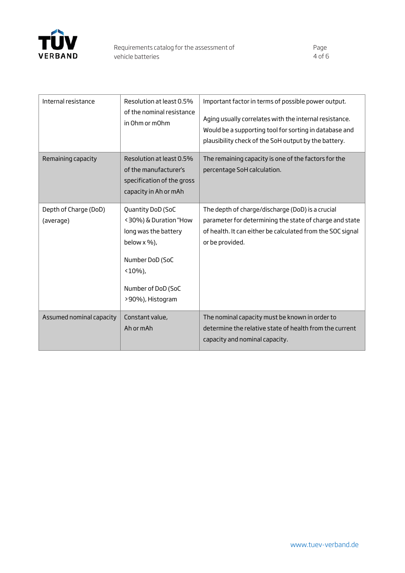

| Internal resistance                | Resolution at least 0.5%<br>of the nominal resistance<br>in Ohm or mOhm                                                                                    | Important factor in terms of possible power output.<br>Aging usually correlates with the internal resistance.<br>Would be a supporting tool for sorting in database and<br>plausibility check of the SoH output by the battery. |
|------------------------------------|------------------------------------------------------------------------------------------------------------------------------------------------------------|---------------------------------------------------------------------------------------------------------------------------------------------------------------------------------------------------------------------------------|
| Remaining capacity                 | Resolution at least 0.5%<br>of the manufacturer's<br>specification of the gross<br>capacity in Ah or mAh                                                   | The remaining capacity is one of the factors for the<br>percentage SoH calculation.                                                                                                                                             |
| Depth of Charge (DoD)<br>(average) | Quantity DoD (SoC<br><30%) & Duration "How<br>long was the battery<br>below x %),<br>Number DoD (SoC<br>$(10\%)$<br>Number of DoD (SoC<br>>90%), Histogram | The depth of charge/discharge (DoD) is a crucial<br>parameter for determining the state of charge and state<br>of health. It can either be calculated from the SOC signal<br>or be provided.                                    |
| Assumed nominal capacity           | Constant value,<br>Ah or mAh                                                                                                                               | The nominal capacity must be known in order to<br>determine the relative state of health from the current<br>capacity and nominal capacity.                                                                                     |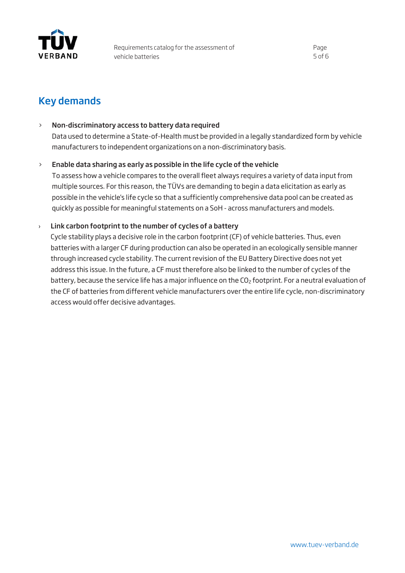

## Key demands

#### > Non-discriminatory access to battery data required

Data used to determine a State-of-Health must be provided in a legally standardized form by vehicle manufacturers to independent organizations on a non-discriminatory basis.

#### $\ge$  Enable data sharing as early as possible in the life cycle of the vehicle

To assess how a vehicle compares to the overall fleet always requires a variety of data input from multiple sources. For this reason, the TÜVs are demanding to begin a data elicitation as early as possible in the vehicle's life cycle so that a sufficiently comprehensive data pool can be created as quickly as possible for meaningful statements on a SoH - across manufacturers and models.

#### $\rightarrow$  Link carbon footprint to the number of cycles of a battery

Cycle stability plays a decisive role in the carbon footprint (CF) of vehicle batteries. Thus, even batteries with a larger CF during production can also be operated in an ecologically sensible manner through increased cycle stability. The current revision of the EU Battery Directive does not yet address this issue. In the future, a CF must therefore also be linked to the number of cycles of the battery, because the service life has a major influence on the CO<sub>2</sub> footprint. For a neutral evaluation of the CF of batteries from different vehicle manufacturers over the entire life cycle, non-discriminatory access would offer decisive advantages.